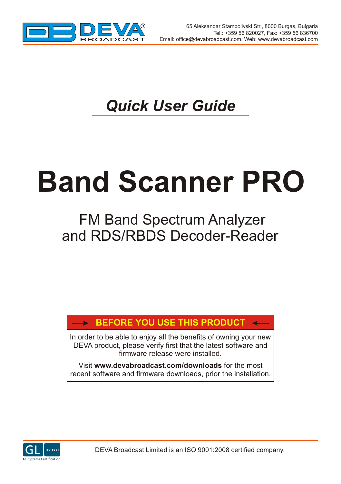

# *Quick User Guide*

# **Band Scanner PRO**

## FM Band Spectrum Analyzer and RDS/RBDS Decoder-Reader

## **BEFORE YOU USE THIS PRODUCT**

In order to be able to enjoy all the benefits of owning your new DEVA product, please verify first that the latest software and firmware release were installed.

Visit **www.devabroadcast.com/downloads** for the most recent software and firmware downloads, prior the installation.

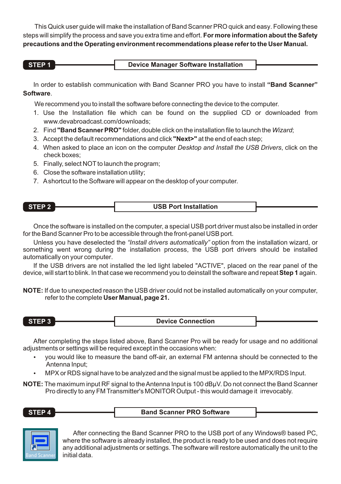This Quick user guide will make the installation of Band Scanner PRO quick and easy. Following these steps will simplify the process and save you extra time and effort. **For more information about the Safety precautions and the Operating environment recommendations please refer to the User Manual.**

| STEP <sub>1</sub> | Device Manager Software Installation |
|-------------------|--------------------------------------|
|-------------------|--------------------------------------|

In order to establish communication with Band Scanner PRO you have to install **"Band Scanner" Software**.

We recommend you to install the software before connecting the device to the computer.

- 1. Use the Installation file which can be found on the supplied CD or downloaded from www.devabroadcast.com/downloads;
- 2. Find **"Band Scanner PRO"** folder, double click on the installation file to launch the *Wizard*;
- 3. Accept the default recommendations and click **"Next>"** at the end of each step;
- 4. When asked to place an icon on the computer *Desktop and Install the USB Drivers*, click on the check boxes;
- 5. Finally, select NOT to launch the program;
- 6. Close the software installation utility;
- 7. Ashortcut to the Software will appear on the desktop of your computer.

| STEP <sub>2</sub> | <b>USB Port Installation</b> |  |
|-------------------|------------------------------|--|
|                   |                              |  |

Once the software is installed on the computer, a special USB port driver must also be installed in order for the Band Scanner Pro to be accessible through the front-panel USB port.

Unless you have deselected the *"Install drivers automatically"* option from the installation wizard, or something went wrong during the installation process, the USB port drivers should be installed automatically on your computer.

If the USB drivers are not installed the led light labeled "ACTIVE", placed on the rear panel of the device, will start to blink. In that case we recommend you to deinstall the software and repeat **Step 1** again.

**NOTE:** If due to unexpected reason the USB driver could not be installed automatically on your computer, refer to the complete **User Manual, page 21.**

**STEP 3 Device Connection**

After completing the steps listed above, Band Scanner Pro will be ready for usage and no additional adjustments or settings will be required except in the occasions when:

- ustments or settings will be required except in the occasions when:<br>• you would like to measure the band off-air, an external FM antenna should be connected to the
- ?Antenna Input; MPX or RDS signal have to be analyzed and the signal must be applied to the MPX/RDS Input.

**NOTE:** The maximum input RF signal to the Antenna Input is 100 dBµV. Do not connect the Band Scanner Pro directly to any FM Transmitter's MONITOR Output - this would damage it irrevocably.

**STEP 4 Band Scanner PRO Software** 



After connecting the Band Scanner PRO to the USB port of any Windows® based PC, where the software is already installed, the product is ready to be used and does not require any additional adjustments or settings. The software will restore automatically the unit to the initial data.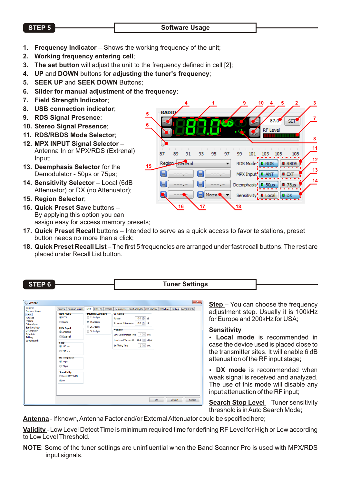## **STEP 5** Software Usage

- **1. Frequency Indicator** Shows the working frequency of the unit;
- **2. Working frequency entering cell**;
- **3. The set button** will adjust the unit to the frequency defined in cell [2];
- **4. UP** and **DOWN** buttons for a**djusting the tuner's frequency**;
- **5. SEEK UP** and **SEEK DOWN** Buttons;
- **6. Slider for manual adjustment of the frequency**;
- **7. Field Strength Indicator**;
- **8. USB connection indicator**;
- **9. RDS Signal Presence**;
- **10. Stereo Signal Presence**;
- **11. RDS/RBDS Mode Selector**;
- **12. MPX INPUT Signal Selector** Antenna In or MPX/RDS (Extrenal) Input;
- **13. Deemphasis Selector** for the Demodulator - 50us or 75us;
- 14. Sensitivity Selector Local (6dB Attenuator) or DX (no Attenuator);
- **15. Region Selector**;
- **16. Quick Preset Save** buttons By applying this option you can assign easy for access memory presets;

|    | ii equency,             |          |                                    |                 |                           |    |
|----|-------------------------|----------|------------------------------------|-----------------|---------------------------|----|
|    |                         |          | 9                                  | 10<br>5<br>4    | $\overline{2}$            | 3  |
| 5  | <b>RADIQ</b>            |          |                                    | 87.0            | <b>SET</b>                |    |
| 6  |                         |          |                                    | <b>RF</b> Level |                           |    |
|    |                         |          |                                    |                 |                           | 8  |
|    |                         |          |                                    |                 |                           | 11 |
|    | 87<br>89<br>93<br>91    | 95<br>97 | 99<br>101                          | 105<br>103      | 108                       | 12 |
| 15 | Region General          |          | RDS Mode <sup>'</sup> <b>D</b> RDS |                 | <b>RBDS</b>               |    |
|    |                         |          | MPX Input!                         | o ant           | EAT                       | 13 |
|    | 后                       |          | Deemphasis'                        | $0.50 \mu s$    | $\blacksquare$ 75 $\mu$ s | 14 |
|    | $\overline{\mathbf{a}}$ | More     | Sensitivity <sup>'</sup> Local     |                 | o dx                      |    |
|    | 16                      | 17       | 18                                 |                 |                           |    |
|    |                         |          |                                    |                 |                           |    |

- **17. Quick Preset Recall** buttons Intended to serve as a quick access to favorite stations, preset button needs no more than a click;
- **18. Quick Preset Recall List**  The first 5 frequencies are arranged under fast recall buttons. The rest are placed under Recall List button.

**STEP 6 Tuner Settings** 

| General<br>General Common Visuals Tuner<br>Common Visuals                                                                                                                                                                                                                                                                                                                                       |                                                                                    | RDS Log Presets   FM Analyzer   Band Analyzer   GPS Monitor   Scheduler   FM Log   Google Earth                                                     |                                                                     |          |         |        |
|-------------------------------------------------------------------------------------------------------------------------------------------------------------------------------------------------------------------------------------------------------------------------------------------------------------------------------------------------------------------------------------------------|------------------------------------------------------------------------------------|-----------------------------------------------------------------------------------------------------------------------------------------------------|---------------------------------------------------------------------|----------|---------|--------|
| <b>RDS Mode</b><br>Tuner<br><b>O</b> RDS<br><b>RDS Log</b><br>Presets<br><b>REDS</b><br>FM Analyzer<br><b>Band Analyzer</b><br><b>MPX Input</b><br><b>GPS Monitor</b><br>@ Anterna<br>Scheduler<br><b>External</b><br><b>FMLog</b><br>Google Earth<br><b>Step</b><br>@ 100 kHz<br>200 kHz<br>De-emphasis<br><b>@ 50 µs</b><br>$O75 \mu s$<br><b>Sensitivity</b><br>C Local (ATT 6dB)<br>$@.$ DX | <b>Search Stop Level</b><br>2 11.6 dBuV<br>@ 19.2 dBuY<br>26.7 dBuY<br>@ 38.0 dBuY | <b>Antenna</b><br>Factor<br><b>External Attenuator</b><br>Validity<br>Low Level Detect Time 3 = sec<br>Low Level Threshold<br><b>Buffering Time</b> | $0.0$ $\div$ dB<br>$0.0$ $\div$ dB<br>20.0 0 dBuV<br>$2 \equiv$ sec |          |         |        |
|                                                                                                                                                                                                                                                                                                                                                                                                 |                                                                                    |                                                                                                                                                     |                                                                     | $\alpha$ | Default | Cancel |

**Step** – You can choose the frequency adjustment step. Usually it is 100kHz for Europe and 200kHz for USA;

## **Sensitivity**

?**Local mode** is recommended in case the device used is placed close to the transmitter sites. It will enable 6 dB<br>attenuation of the RF input stage;

attenuation of the RF input stage;<br>• **DX mode** is recommended when weak signal is received and analyzed. The use of this mode will disable any input attenuation of the RF input;

**Search Stop Level** – Tuner sensitivity threshold is in Auto Search Mode;

**Antenna** - If known, Antenna Factor and/or External Attenuator could be specified here;

**Validity** - Low Level Detect Time is minimum required time for defining RF Level for High or Low according to Low Level Threshold

**NOTE**: Some of the tuner settings are uninfluential when the Band Scanner Pro is used with MPX/RDS input signals.